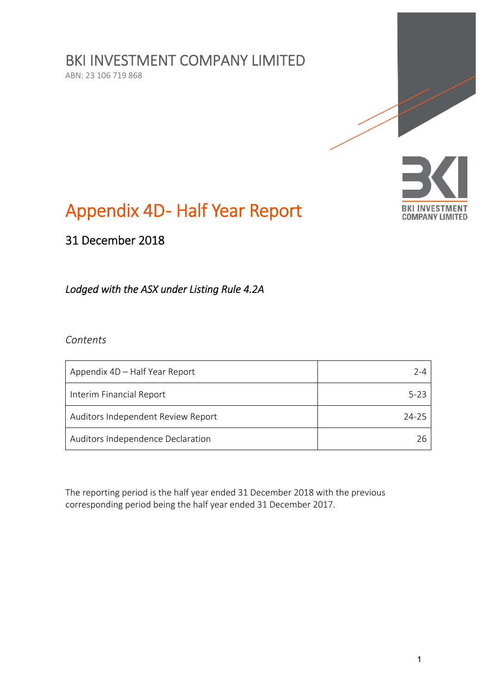BKI INVESTMENT COMPANY LIMITED

ABN: 23 106 719 868



# Appendix 4D- Half Year Report

31 December 2018

# *Lodged with the ASX under Listing Rule 4.2A*

*Contents* 

| Appendix 4D – Half Year Report     | 7-4   |
|------------------------------------|-------|
| Interim Financial Report           | 5-23  |
| Auditors Independent Review Report | 24-25 |
| Auditors Independence Declaration  | 26    |

The reporting period is the half year ended 31 December 2018 with the previous corresponding period being the half year ended 31 December 2017.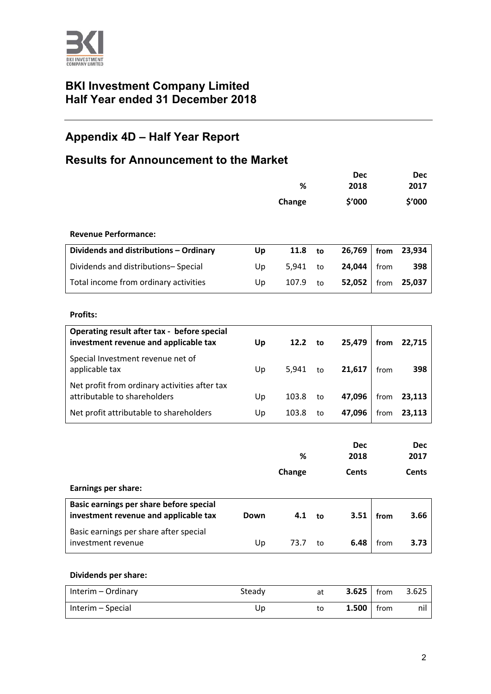

# **BKI Investment Company Limited Half Year ended 31 December 2018**

# **Appendix 4D – Half Year Report**

# **Results for Announcement to the Market**

|                                                                                      |      | %      |    | <b>Dec</b><br>2018 |      | <b>Dec</b><br>2017 |
|--------------------------------------------------------------------------------------|------|--------|----|--------------------|------|--------------------|
|                                                                                      |      | Change |    | \$'000             |      | \$'000             |
| <b>Revenue Performance:</b>                                                          |      |        |    |                    |      |                    |
| Dividends and distributions - Ordinary                                               | Up   | 11.8   | to | 26,769             | from | 23,934             |
| Dividends and distributions-Special                                                  | Up   | 5,941  | to | 24,044             | from | 398                |
| Total income from ordinary activities                                                | Up   | 107.9  | to | 52,052             | from | 25,037             |
| <b>Profits:</b>                                                                      |      |        |    |                    |      |                    |
| Operating result after tax - before special<br>investment revenue and applicable tax | Up   | 12.2   | to | 25,479             | from | 22,715             |
| Special Investment revenue net of<br>applicable tax                                  | Up   | 5,941  | to | 21,617             | from | 398                |
| Net profit from ordinary activities after tax<br>attributable to shareholders        | Up   | 103.8  | to | 47,096             | from | 23,113             |
| Net profit attributable to shareholders                                              | Up   | 103.8  | to | 47,096             | from | 23,113             |
|                                                                                      |      | %      |    | <b>Dec</b><br>2018 |      | <b>Dec</b><br>2017 |
|                                                                                      |      | Change |    | <b>Cents</b>       |      | <b>Cents</b>       |
| <b>Earnings per share:</b>                                                           |      |        |    |                    |      |                    |
| Basic earnings per share before special<br>investment revenue and applicable tax     | Down | 4.1    | to | 3.51               | from | 3.66               |

| Basic earnings per share after special |      |  |                  |      |
|----------------------------------------|------|--|------------------|------|
| investment revenue                     | 73.7 |  | <b>6.48</b> from | 3.73 |
|                                        |      |  |                  |      |

#### **Dividends per share:**

| Interim – Ordinary | Steady | at | $3.625$ from |      | 3.625 |
|--------------------|--------|----|--------------|------|-------|
| Interim – Special  | Up     | to | 1.500        | from | nil   |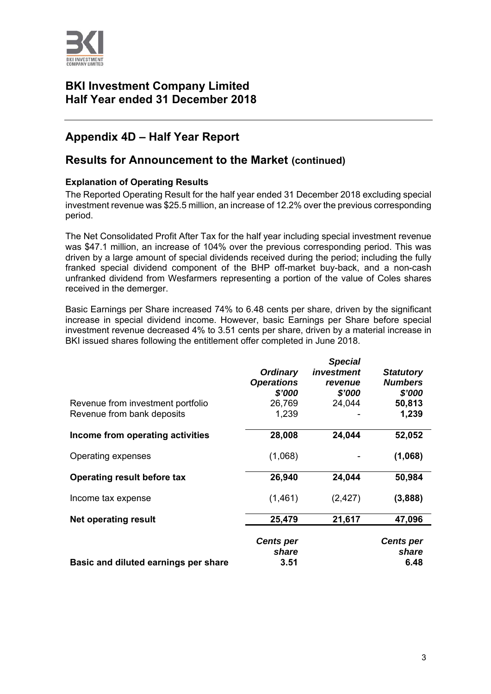

# **BKI Investment Company Limited Half Year ended 31 December 2018**

# **Appendix 4D – Half Year Report**

# **Results for Announcement to the Market (continued)**

#### **Explanation of Operating Results**

The Reported Operating Result for the half year ended 31 December 2018 excluding special investment revenue was \$25.5 million, an increase of 12.2% over the previous corresponding period.

The Net Consolidated Profit After Tax for the half year including special investment revenue was \$47.1 million, an increase of 104% over the previous corresponding period. This was driven by a large amount of special dividends received during the period; including the fully franked special dividend component of the BHP off-market buy-back, and a non-cash unfranked dividend from Wesfarmers representing a portion of the value of Coles shares received in the demerger.

Basic Earnings per Share increased 74% to 6.48 cents per share, driven by the significant increase in special dividend income. However, basic Earnings per Share before special investment revenue decreased 4% to 3.51 cents per share, driven by a material increase in BKI issued shares following the entitlement offer completed in June 2018.

| Revenue from investment portfolio<br>Revenue from bank deposits | <b>Ordinary</b><br><b>Operations</b><br>\$'000<br>26,769<br>1,239 | <b>Special</b><br>investment<br>revenue<br>\$'000<br>24,044 | <b>Statutory</b><br><b>Numbers</b><br>\$'000<br>50,813<br>1,239 |
|-----------------------------------------------------------------|-------------------------------------------------------------------|-------------------------------------------------------------|-----------------------------------------------------------------|
| Income from operating activities                                | 28,008                                                            | 24,044                                                      | 52,052                                                          |
| Operating expenses                                              | (1,068)                                                           |                                                             | (1,068)                                                         |
| Operating result before tax                                     | 26,940                                                            | 24,044                                                      | 50,984                                                          |
| Income tax expense                                              | (1,461)                                                           | (2, 427)                                                    | (3,888)                                                         |
| <b>Net operating result</b>                                     | 25,479                                                            | 21,617                                                      | 47,096                                                          |
| Basic and diluted earnings per share                            | <b>Cents per</b><br>share<br>3.51                                 |                                                             | <b>Cents per</b><br>share<br>6.48                               |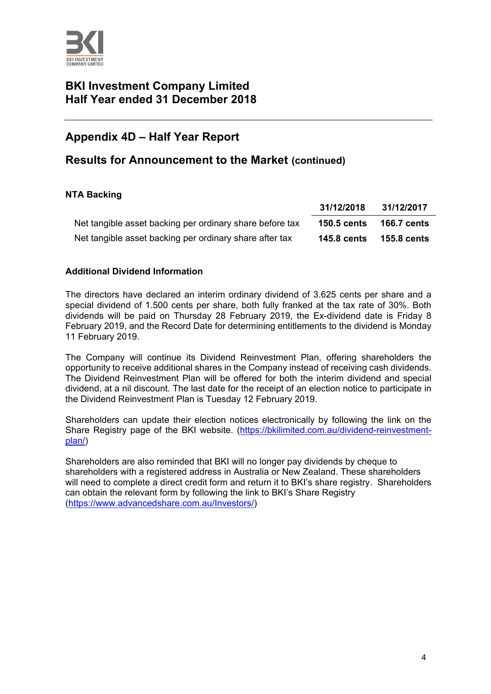

# **BKI Investment Company Limited Half Year ended 31 December 2018**

# **Appendix 4D – Half Year Report**

# **Results for Announcement to the Market (continued)**

#### **NTA Backing**

|                                                          | 31/12/2018         | 31/12/2017  |
|----------------------------------------------------------|--------------------|-------------|
| Net tangible asset backing per ordinary share before tax | <b>150.5 cents</b> | 166.7 cents |
| Net tangible asset backing per ordinary share after tax  | <b>145.8 cents</b> | 155.8 cents |

#### **Additional Dividend Information**

The directors have declared an interim ordinary dividend of 3.625 cents per share and a special dividend of 1.500 cents per share, both fully franked at the tax rate of 30%. Both dividends will be paid on Thursday 28 February 2019, the Ex-dividend date is Friday 8 February 2019, and the Record Date for determining entitlements to the dividend is Monday 11 February 2019.

The Company will continue its Dividend Reinvestment Plan, offering shareholders the opportunity to receive additional shares in the Company instead of receiving cash dividends. The Dividend Reinvestment Plan will be offered for both the interim dividend and special dividend, at a nil discount. The last date for the receipt of an election notice to participate in the Dividend Reinvestment Plan is Tuesday 12 February 2019.

Shareholders can update their election notices electronically by following the link on the Share Registry page of the BKI website. (https://bkilimited.com.au/dividend-reinvestmentplan/)

Shareholders are also reminded that BKI will no longer pay dividends by cheque to shareholders with a registered address in Australia or New Zealand. These shareholders will need to complete a direct credit form and return it to BKI's share registry. Shareholders can obtain the relevant form by following the link to BKI's Share Registry (https://www.advancedshare.com.au/Investors/)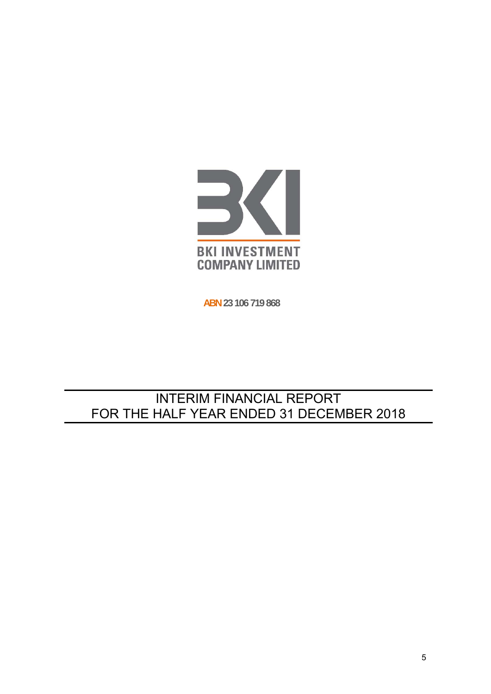

**ABN 23 106 719 868**

# INTERIM FINANCIAL REPORT FOR THE HALF YEAR ENDED 31 DECEMBER 2018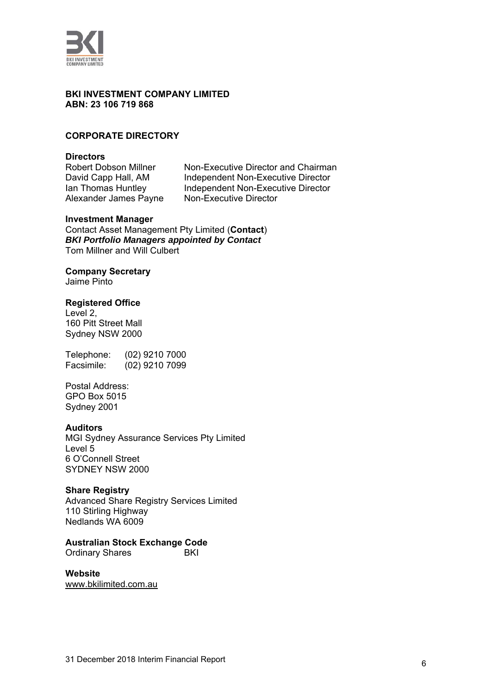

#### **BKI INVESTMENT COMPANY LIMITED ABN: 23 106 719 868**

#### **CORPORATE DIRECTORY**

**Directors** 

Non-Executive Director and Chairman David Capp Hall, AM Independent Non-Executive Director Ian Thomas Huntley Independent Non-Executive Director Alexander James Payne Non-Executive Director

#### **Investment Manager**

Contact Asset Management Pty Limited (**Contact**) *BKI Portfolio Managers appointed by Contact*  Tom Millner and Will Culbert

#### **Company Secretary**

Jaime Pinto

#### **Registered Office**

Level 2, 160 Pitt Street Mall Sydney NSW 2000

Telephone: (02) 9210 7000 Facsimile: (02) 9210 7099

Postal Address: GPO Box 5015 Sydney 2001

#### **Auditors**

MGI Sydney Assurance Services Pty Limited Level 5 6 O'Connell Street SYDNEY NSW 2000

#### **Share Registry**

Advanced Share Registry Services Limited 110 Stirling Highway Nedlands WA 6009

#### **Australian Stock Exchange Code**

Ordinary Shares BKI

**Website**  www.bkilimited.com.au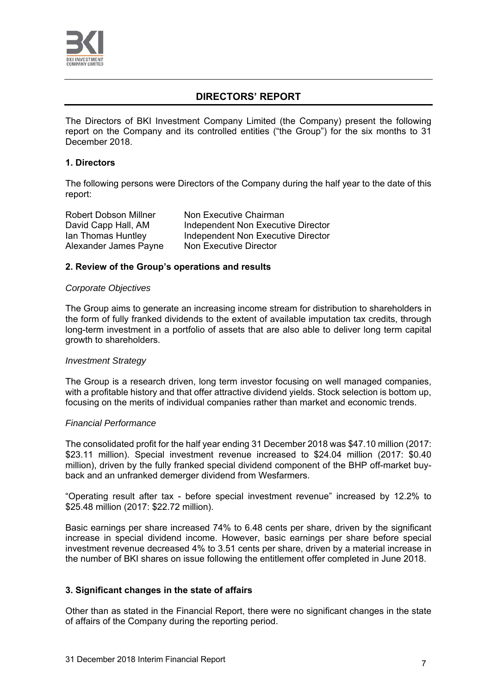

# **DIRECTORS' REPORT**

The Directors of BKI Investment Company Limited (the Company) present the following report on the Company and its controlled entities ("the Group") for the six months to 31 December 2018.

#### **1. Directors**

The following persons were Directors of the Company during the half year to the date of this report:

Robert Dobson Millner Non Executive Chairman Alexander James Payne Non Executive Director

David Capp Hall, AM Independent Non Executive Director Ian Thomas Huntley **Independent Non Executive Director** 

#### **2. Review of the Group's operations and results**

#### *Corporate Objectives*

The Group aims to generate an increasing income stream for distribution to shareholders in the form of fully franked dividends to the extent of available imputation tax credits, through long-term investment in a portfolio of assets that are also able to deliver long term capital growth to shareholders.

#### *Investment Strategy*

The Group is a research driven, long term investor focusing on well managed companies, with a profitable history and that offer attractive dividend yields. Stock selection is bottom up, focusing on the merits of individual companies rather than market and economic trends.

#### *Financial Performance*

The consolidated profit for the half year ending 31 December 2018 was \$47.10 million (2017: \$23.11 million). Special investment revenue increased to \$24.04 million (2017: \$0.40 million), driven by the fully franked special dividend component of the BHP off-market buyback and an unfranked demerger dividend from Wesfarmers.

"Operating result after tax - before special investment revenue" increased by 12.2% to \$25.48 million (2017: \$22.72 million).

Basic earnings per share increased 74% to 6.48 cents per share, driven by the significant increase in special dividend income. However, basic earnings per share before special investment revenue decreased 4% to 3.51 cents per share, driven by a material increase in the number of BKI shares on issue following the entitlement offer completed in June 2018.

#### **3. Significant changes in the state of affairs**

Other than as stated in the Financial Report, there were no significant changes in the state of affairs of the Company during the reporting period.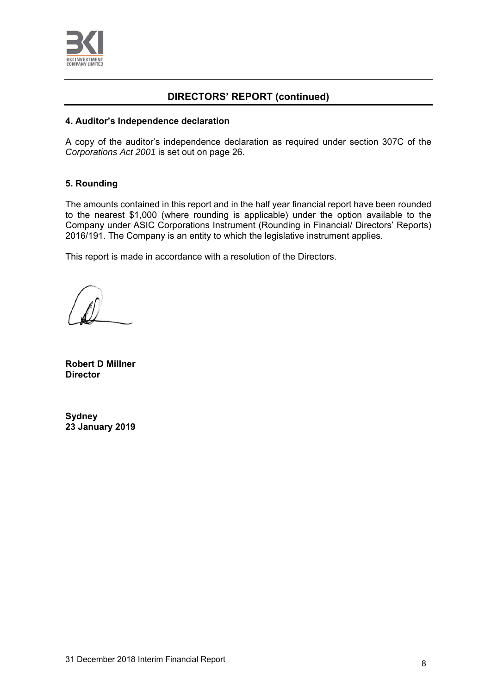

# **DIRECTORS' REPORT (continued)**

#### **4. Auditor's Independence declaration**

A copy of the auditor's independence declaration as required under section 307C of the *Corporations Act 2001* is set out on page 26.

### **5. Rounding**

The amounts contained in this report and in the half year financial report have been rounded to the nearest \$1,000 (where rounding is applicable) under the option available to the Company under ASIC Corporations Instrument (Rounding in Financial/ Directors' Reports) 2016/191. The Company is an entity to which the legislative instrument applies.

This report is made in accordance with a resolution of the Directors.

**Robert D Millner Director** 

**Sydney 23 January 2019**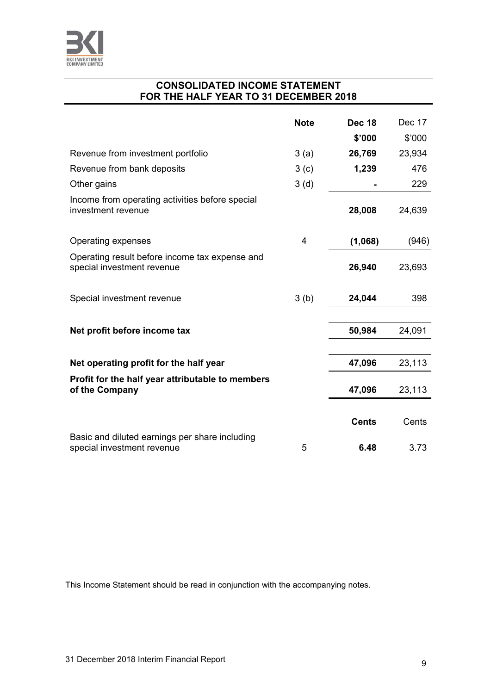

# **CONSOLIDATED INCOME STATEMENT FOR THE HALF YEAR TO 31 DECEMBER 2018**

|                                                                              | <b>Note</b>      | <b>Dec 18</b> | Dec 17 |
|------------------------------------------------------------------------------|------------------|---------------|--------|
|                                                                              |                  | \$'000        | \$'000 |
| Revenue from investment portfolio                                            | 3(a)             | 26,769        | 23,934 |
| Revenue from bank deposits                                                   | 3 <sub>(c)</sub> | 1,239         | 476    |
| Other gains                                                                  | 3(d)             |               | 229    |
| Income from operating activities before special<br>investment revenue        |                  | 28,008        | 24,639 |
| Operating expenses                                                           | 4                | (1,068)       | (946)  |
| Operating result before income tax expense and<br>special investment revenue |                  | 26,940        | 23,693 |
| Special investment revenue                                                   | 3(b)             | 24,044        | 398    |
|                                                                              |                  |               |        |
| Net profit before income tax                                                 |                  | 50,984        | 24,091 |
|                                                                              |                  |               |        |
| Net operating profit for the half year                                       |                  | 47,096        | 23,113 |
| Profit for the half year attributable to members<br>of the Company           |                  | 47,096        | 23,113 |
|                                                                              |                  | <b>Cents</b>  | Cents  |
| Basic and diluted earnings per share including<br>special investment revenue | 5                | 6.48          | 3.73   |

This Income Statement should be read in conjunction with the accompanying notes.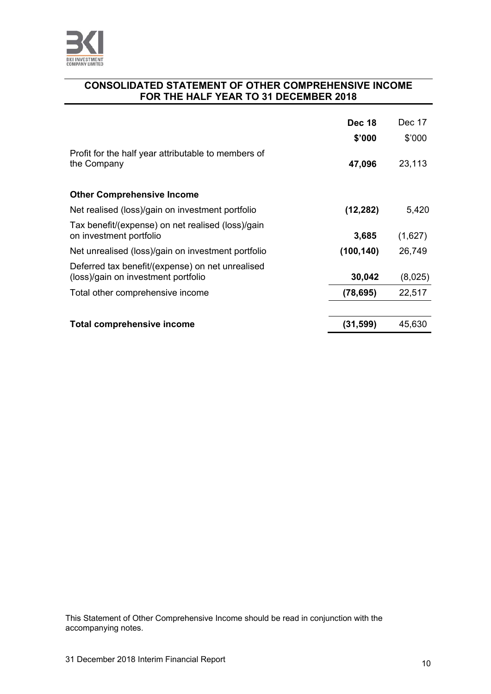

# **CONSOLIDATED STATEMENT OF OTHER COMPREHENSIVE INCOME FOR THE HALF YEAR TO 31 DECEMBER 2018**

|                                                                                         | <b>Dec 18</b> | Dec 17  |
|-----------------------------------------------------------------------------------------|---------------|---------|
|                                                                                         | \$'000        | \$'000  |
| Profit for the half year attributable to members of<br>the Company                      | 47,096        | 23,113  |
| <b>Other Comprehensive Income</b>                                                       |               |         |
| Net realised (loss)/gain on investment portfolio                                        | (12, 282)     | 5,420   |
| Tax benefit/(expense) on net realised (loss)/gain<br>on investment portfolio            | 3,685         | (1,627) |
| Net unrealised (loss)/gain on investment portfolio                                      | (100, 140)    | 26,749  |
| Deferred tax benefit/(expense) on net unrealised<br>(loss)/gain on investment portfolio | 30,042        | (8,025) |
| Total other comprehensive income                                                        | (78, 695)     | 22,517  |
|                                                                                         |               |         |
| Total comprehensive income                                                              | (31, 599)     | 45,630  |

This Statement of Other Comprehensive Income should be read in conjunction with the accompanying notes.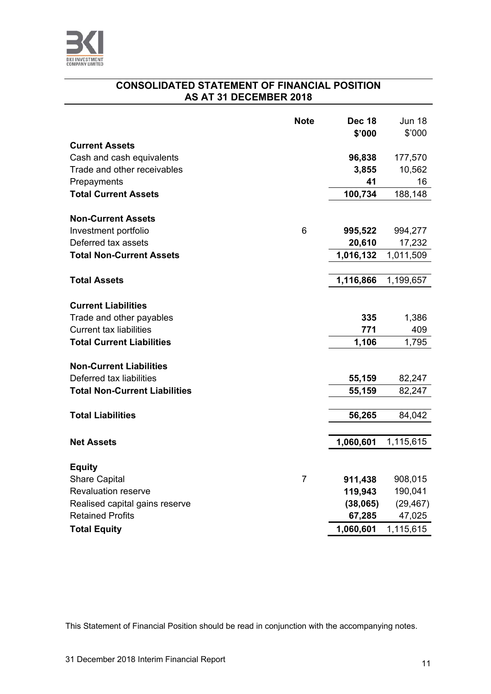

# **CONSOLIDATED STATEMENT OF FINANCIAL POSITION AS AT 31 DECEMBER 2018**

|                                      | <b>Note</b>    | <b>Dec 18</b><br>\$'000 | <b>Jun 18</b><br>\$'000 |
|--------------------------------------|----------------|-------------------------|-------------------------|
| <b>Current Assets</b>                |                |                         |                         |
| Cash and cash equivalents            |                | 96,838                  | 177,570                 |
| Trade and other receivables          |                | 3,855                   | 10,562                  |
| Prepayments                          |                | 41                      | 16                      |
| <b>Total Current Assets</b>          |                | 100,734                 | 188,148                 |
|                                      |                |                         |                         |
| <b>Non-Current Assets</b>            |                |                         |                         |
| Investment portfolio                 | 6              | 995,522                 | 994,277                 |
| Deferred tax assets                  |                | 20,610                  | 17,232                  |
| <b>Total Non-Current Assets</b>      |                | 1,016,132               | 1,011,509               |
| <b>Total Assets</b>                  |                | 1,116,866               | 1,199,657               |
|                                      |                |                         |                         |
| <b>Current Liabilities</b>           |                |                         |                         |
| Trade and other payables             |                | 335                     | 1,386                   |
| <b>Current tax liabilities</b>       |                | 771                     | 409                     |
| <b>Total Current Liabilities</b>     |                | 1,106                   | 1,795                   |
|                                      |                |                         |                         |
| <b>Non-Current Liabilities</b>       |                |                         |                         |
| Deferred tax liabilities             |                | 55,159                  | 82,247                  |
| <b>Total Non-Current Liabilities</b> |                | 55,159                  | 82,247                  |
|                                      |                |                         |                         |
| <b>Total Liabilities</b>             |                | 56,265                  | 84,042                  |
|                                      |                |                         |                         |
| <b>Net Assets</b>                    |                | 1,060,601               | 1,115,615               |
| <b>Equity</b>                        |                |                         |                         |
| <b>Share Capital</b>                 | $\overline{7}$ | 911,438                 | 908,015                 |
| <b>Revaluation reserve</b>           |                | 119,943                 | 190,041                 |
| Realised capital gains reserve       |                | (38,065)                | (29, 467)               |
| <b>Retained Profits</b>              |                | 67,285                  | 47,025                  |
| <b>Total Equity</b>                  |                | 1,060,601               | 1,115,615               |

This Statement of Financial Position should be read in conjunction with the accompanying notes.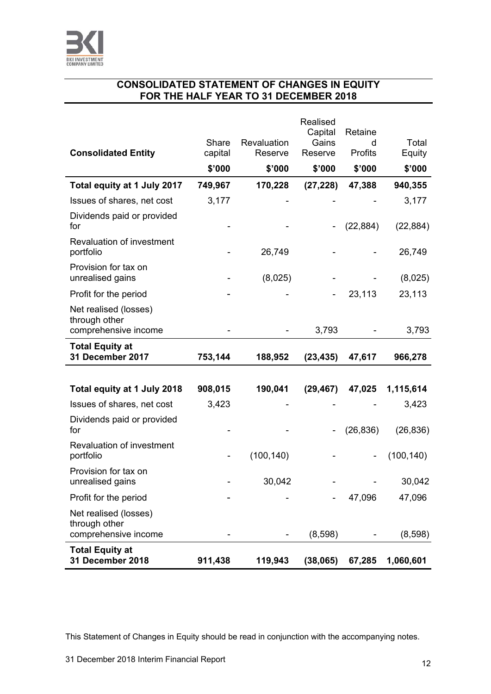

# **CONSOLIDATED STATEMENT OF CHANGES IN EQUITY FOR THE HALF YEAR TO 31 DECEMBER 2018**

|                                                                |         |             | Realised<br>Capital | Retaine   |            |
|----------------------------------------------------------------|---------|-------------|---------------------|-----------|------------|
|                                                                | Share   | Revaluation | Gains               | d         | Total      |
| <b>Consolidated Entity</b>                                     | capital | Reserve     | Reserve             | Profits   | Equity     |
|                                                                | \$'000  | \$'000      | \$'000              | \$'000    | \$'000     |
| Total equity at 1 July 2017                                    | 749,967 | 170,228     | (27, 228)           | 47,388    | 940,355    |
| Issues of shares, net cost                                     | 3,177   |             |                     |           | 3,177      |
| Dividends paid or provided<br>for                              |         |             |                     | (22, 884) | (22, 884)  |
| Revaluation of investment<br>portfolio                         |         | 26,749      |                     |           | 26,749     |
| Provision for tax on<br>unrealised gains                       |         | (8,025)     |                     |           | (8,025)    |
| Profit for the period                                          |         |             |                     | 23,113    | 23,113     |
| Net realised (losses)<br>through other                         |         |             |                     |           |            |
| comprehensive income                                           |         |             | 3,793               |           | 3,793      |
| <b>Total Equity at</b><br>31 December 2017                     | 753,144 | 188,952     | (23, 435)           | 47,617    | 966,278    |
|                                                                |         |             |                     |           |            |
| Total equity at 1 July 2018                                    | 908,015 | 190,041     | (29, 467)           | 47,025    | 1,115,614  |
| Issues of shares, net cost                                     | 3,423   |             |                     |           | 3,423      |
| Dividends paid or provided<br>for                              |         |             |                     | (26, 836) | (26, 836)  |
| Revaluation of investment<br>portfolio                         |         | (100, 140)  |                     |           | (100, 140) |
| Provision for tax on<br>unrealised gains                       |         | 30,042      |                     |           | 30,042     |
| Profit for the period                                          |         |             |                     | 47,096    | 47,096     |
| Net realised (losses)<br>through other<br>comprehensive income |         |             | (8,598)             |           | (8,598)    |
| <b>Total Equity at</b><br>31 December 2018                     |         |             |                     |           |            |

This Statement of Changes in Equity should be read in conjunction with the accompanying notes.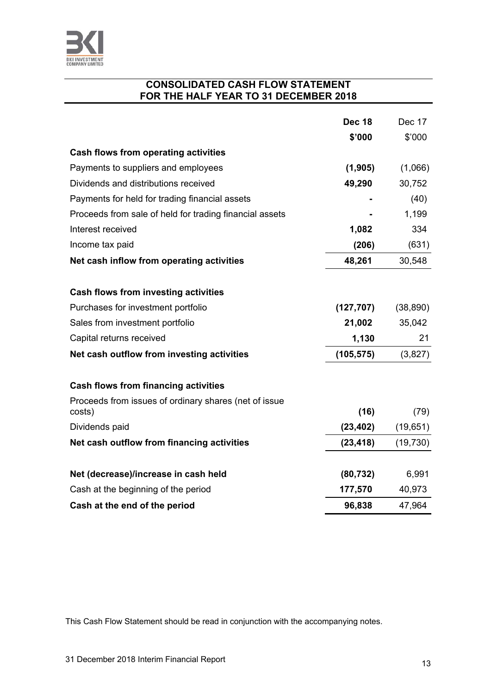

#### **CONSOLIDATED CASH FLOW STATEMENT FOR THE HALF YEAR TO 31 DECEMBER 2018**

|                                                         | <b>Dec 18</b> | Dec 17    |
|---------------------------------------------------------|---------------|-----------|
|                                                         | \$'000        | \$'000    |
| Cash flows from operating activities                    |               |           |
| Payments to suppliers and employees                     | (1, 905)      | (1,066)   |
| Dividends and distributions received                    | 49,290        | 30,752    |
| Payments for held for trading financial assets          |               | (40)      |
| Proceeds from sale of held for trading financial assets |               | 1,199     |
| Interest received                                       | 1,082         | 334       |
| Income tax paid                                         | (206)         | (631)     |
| Net cash inflow from operating activities               | 48,261        | 30,548    |
|                                                         |               |           |
| Cash flows from investing activities                    |               |           |
| Purchases for investment portfolio                      | (127, 707)    | (38, 890) |
| Sales from investment portfolio                         | 21,002        | 35,042    |
| Capital returns received                                | 1,130         | 21        |
| Net cash outflow from investing activities              | (105, 575)    | (3,827)   |
| Cash flows from financing activities                    |               |           |
| Proceeds from issues of ordinary shares (net of issue   |               |           |
| costs)                                                  | (16)          | (79)      |
| Dividends paid                                          | (23, 402)     | (19, 651) |
| Net cash outflow from financing activities              | (23, 418)     | (19, 730) |
| Net (decrease)/increase in cash held                    | (80, 732)     | 6,991     |
| Cash at the beginning of the period                     | 177,570       | 40,973    |
| Cash at the end of the period                           | 96,838        | 47,964    |

This Cash Flow Statement should be read in conjunction with the accompanying notes.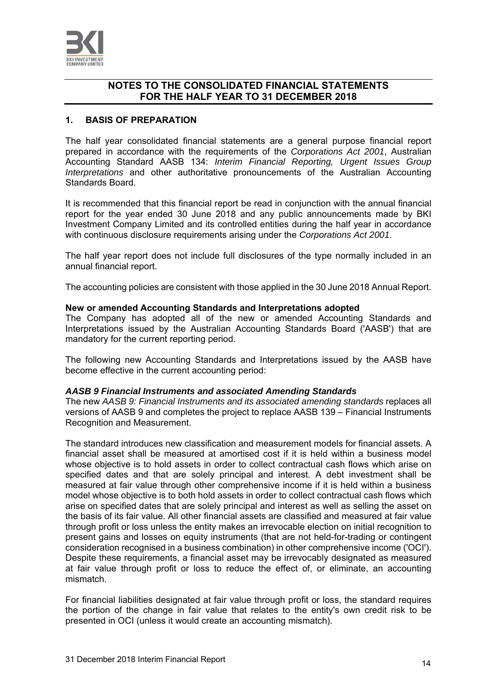

#### **1. BASIS OF PREPARATION**

The half year consolidated financial statements are a general purpose financial report prepared in accordance with the requirements of the *Corporations Act 2001*, Australian Accounting Standard AASB 134: *Interim Financial Reporting, Urgent Issues Group Interpretations* and other authoritative pronouncements of the Australian Accounting Standards Board.

It is recommended that this financial report be read in conjunction with the annual financial report for the year ended 30 June 2018 and any public announcements made by BKI Investment Company Limited and its controlled entities during the half year in accordance with continuous disclosure requirements arising under the *Corporations Act 2001*.

The half year report does not include full disclosures of the type normally included in an annual financial report.

The accounting policies are consistent with those applied in the 30 June 2018 Annual Report.

#### **New or amended Accounting Standards and Interpretations adopted**

The Company has adopted all of the new or amended Accounting Standards and Interpretations issued by the Australian Accounting Standards Board ('AASB') that are mandatory for the current reporting period.

The following new Accounting Standards and Interpretations issued by the AASB have become effective in the current accounting period:

#### *AASB 9 Financial Instruments and associated Amending Standards*

The new *AASB 9: Financial Instruments and its associated amending standards* replaces all versions of AASB 9 and completes the project to replace AASB 139 – Financial Instruments Recognition and Measurement.

The standard introduces new classification and measurement models for financial assets. A financial asset shall be measured at amortised cost if it is held within a business model whose objective is to hold assets in order to collect contractual cash flows which arise on specified dates and that are solely principal and interest. A debt investment shall be measured at fair value through other comprehensive income if it is held within a business model whose objective is to both hold assets in order to collect contractual cash flows which arise on specified dates that are solely principal and interest as well as selling the asset on the basis of its fair value. All other financial assets are classified and measured at fair value through profit or loss unless the entity makes an irrevocable election on initial recognition to present gains and losses on equity instruments (that are not held-for-trading or contingent consideration recognised in a business combination) in other comprehensive income ('OCI'). Despite these requirements, a financial asset may be irrevocably designated as measured at fair value through profit or loss to reduce the effect of, or eliminate, an accounting mismatch.

For financial liabilities designated at fair value through profit or loss, the standard requires the portion of the change in fair value that relates to the entity's own credit risk to be presented in OCI (unless it would create an accounting mismatch).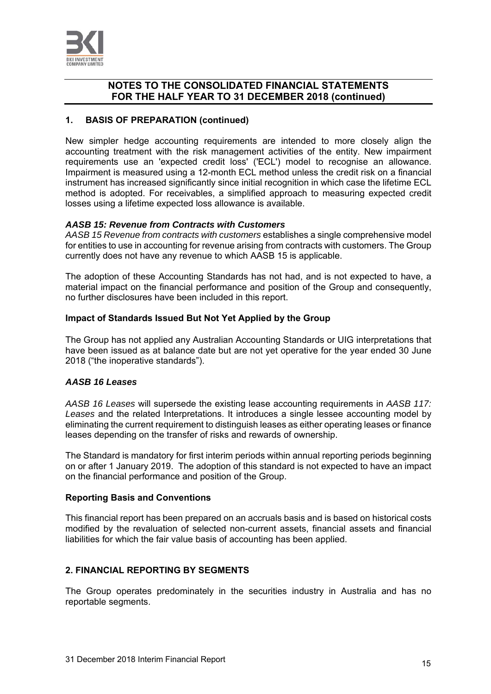

#### **1. BASIS OF PREPARATION (continued)**

New simpler hedge accounting requirements are intended to more closely align the accounting treatment with the risk management activities of the entity. New impairment requirements use an 'expected credit loss' ('ECL') model to recognise an allowance. Impairment is measured using a 12-month ECL method unless the credit risk on a financial instrument has increased significantly since initial recognition in which case the lifetime ECL method is adopted. For receivables, a simplified approach to measuring expected credit losses using a lifetime expected loss allowance is available.

#### *AASB 15: Revenue from Contracts with Customers*

*AASB 15 Revenue from contracts with customers* establishes a single comprehensive model for entities to use in accounting for revenue arising from contracts with customers. The Group currently does not have any revenue to which AASB 15 is applicable.

The adoption of these Accounting Standards has not had, and is not expected to have, a material impact on the financial performance and position of the Group and consequently, no further disclosures have been included in this report.

#### **Impact of Standards Issued But Not Yet Applied by the Group**

The Group has not applied any Australian Accounting Standards or UIG interpretations that have been issued as at balance date but are not yet operative for the year ended 30 June 2018 ("the inoperative standards").

#### *AASB 16 Leases*

*AASB 16 Leases* will supersede the existing lease accounting requirements in *AASB 117: Leases* and the related Interpretations. It introduces a single lessee accounting model by eliminating the current requirement to distinguish leases as either operating leases or finance leases depending on the transfer of risks and rewards of ownership.

The Standard is mandatory for first interim periods within annual reporting periods beginning on or after 1 January 2019. The adoption of this standard is not expected to have an impact on the financial performance and position of the Group.

#### **Reporting Basis and Conventions**

This financial report has been prepared on an accruals basis and is based on historical costs modified by the revaluation of selected non-current assets, financial assets and financial liabilities for which the fair value basis of accounting has been applied.

#### **2. FINANCIAL REPORTING BY SEGMENTS**

The Group operates predominately in the securities industry in Australia and has no reportable segments.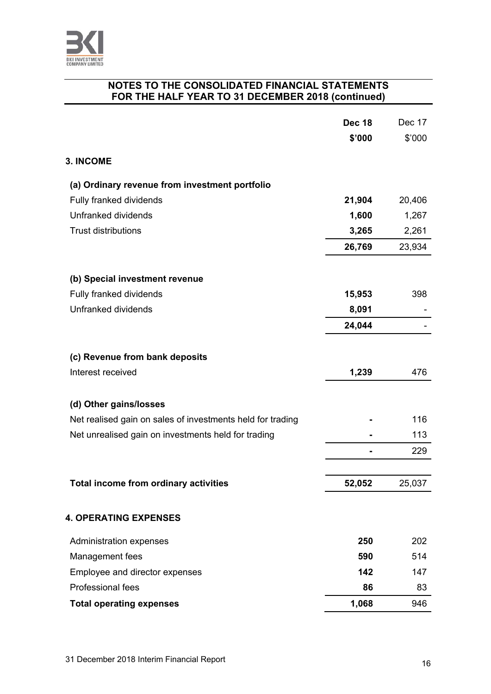

|                                                            | <b>Dec 18</b> | Dec 17 |
|------------------------------------------------------------|---------------|--------|
|                                                            | \$'000        | \$'000 |
| <b>3. INCOME</b>                                           |               |        |
| (a) Ordinary revenue from investment portfolio             |               |        |
| Fully franked dividends                                    | 21,904        | 20,406 |
| Unfranked dividends                                        | 1,600         | 1,267  |
| <b>Trust distributions</b>                                 | 3,265         | 2,261  |
|                                                            | 26,769        | 23,934 |
| (b) Special investment revenue                             |               |        |
| Fully franked dividends                                    | 15,953        | 398    |
| Unfranked dividends                                        | 8,091         |        |
|                                                            | 24,044        |        |
|                                                            |               |        |
| (c) Revenue from bank deposits                             |               |        |
| Interest received                                          | 1,239         | 476    |
| (d) Other gains/losses                                     |               |        |
| Net realised gain on sales of investments held for trading |               | 116    |
| Net unrealised gain on investments held for trading        |               | 113    |
|                                                            |               | 229    |
|                                                            |               |        |
| Total income from ordinary activities                      | 52,052        | 25,037 |
| <b>4. OPERATING EXPENSES</b>                               |               |        |
| Administration expenses                                    | 250           | 202    |
| Management fees                                            | 590           | 514    |
| Employee and director expenses                             | 142           | 147    |
| Professional fees                                          | 86            | 83     |
| <b>Total operating expenses</b>                            | 1,068         | 946    |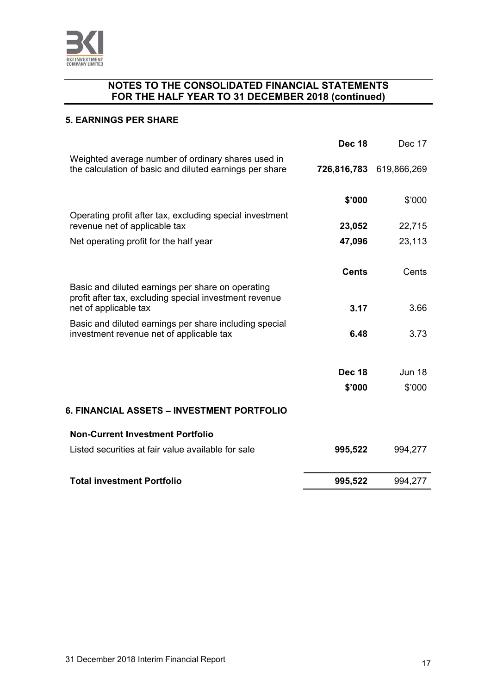

#### **5. EARNINGS PER SHARE**

|                                                                                                               | <b>Dec 18</b> | Dec 17                  |
|---------------------------------------------------------------------------------------------------------------|---------------|-------------------------|
| Weighted average number of ordinary shares used in<br>the calculation of basic and diluted earnings per share |               | 726,816,783 619,866,269 |
|                                                                                                               | \$'000        | \$'000                  |
| Operating profit after tax, excluding special investment<br>revenue net of applicable tax                     | 23,052        | 22,715                  |
| Net operating profit for the half year                                                                        | 47,096        | 23,113                  |
|                                                                                                               | <b>Cents</b>  | Cents                   |
| Basic and diluted earnings per share on operating<br>profit after tax, excluding special investment revenue   |               |                         |
| net of applicable tax                                                                                         | 3.17          | 3.66                    |
| Basic and diluted earnings per share including special<br>investment revenue net of applicable tax            | 6.48          | 3.73                    |
|                                                                                                               |               |                         |
|                                                                                                               | <b>Dec 18</b> | <b>Jun 18</b>           |
|                                                                                                               | \$'000        | \$'000                  |
| 6. FINANCIAL ASSETS – INVESTMENT PORTFOLIO                                                                    |               |                         |
| <b>Non-Current Investment Portfolio</b>                                                                       |               |                         |
| Listed securities at fair value available for sale                                                            | 995,522       | 994,277                 |
| <b>Total investment Portfolio</b>                                                                             | 995,522       | 994,277                 |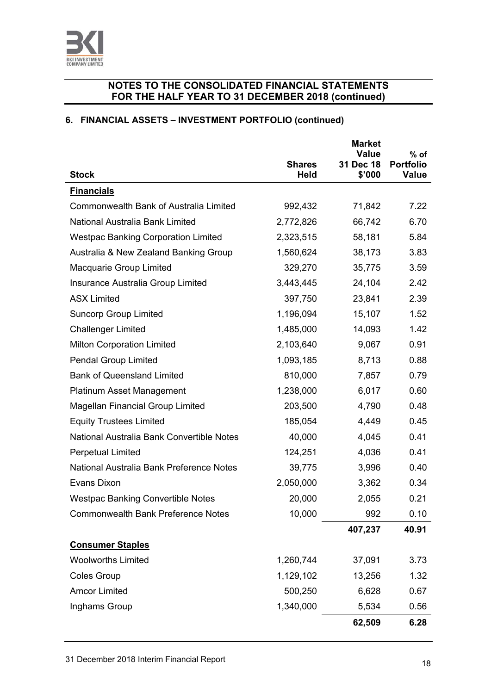

# **6. FINANCIAL ASSETS – INVESTMENT PORTFOLIO (continued)**

|                                            |                              | <b>Market</b><br>Value | $%$ of                           |
|--------------------------------------------|------------------------------|------------------------|----------------------------------|
| <b>Stock</b>                               | <b>Shares</b><br><b>Held</b> | 31 Dec 18<br>\$'000    | <b>Portfolio</b><br><b>Value</b> |
| <b>Financials</b>                          |                              |                        |                                  |
| Commonwealth Bank of Australia Limited     | 992,432                      | 71,842                 | 7.22                             |
| National Australia Bank Limited            | 2,772,826                    | 66,742                 | 6.70                             |
| <b>Westpac Banking Corporation Limited</b> | 2,323,515                    | 58,181                 | 5.84                             |
| Australia & New Zealand Banking Group      | 1,560,624                    | 38,173                 | 3.83                             |
| Macquarie Group Limited                    | 329,270                      | 35,775                 | 3.59                             |
| Insurance Australia Group Limited          | 3,443,445                    | 24,104                 | 2.42                             |
| <b>ASX Limited</b>                         | 397,750                      | 23,841                 | 2.39                             |
| <b>Suncorp Group Limited</b>               | 1,196,094                    | 15,107                 | 1.52                             |
| <b>Challenger Limited</b>                  | 1,485,000                    | 14,093                 | 1.42                             |
| <b>Milton Corporation Limited</b>          | 2,103,640                    | 9,067                  | 0.91                             |
| <b>Pendal Group Limited</b>                | 1,093,185                    | 8,713                  | 0.88                             |
| <b>Bank of Queensland Limited</b>          | 810,000                      | 7,857                  | 0.79                             |
| <b>Platinum Asset Management</b>           | 1,238,000                    | 6,017                  | 0.60                             |
| <b>Magellan Financial Group Limited</b>    | 203,500                      | 4,790                  | 0.48                             |
| <b>Equity Trustees Limited</b>             | 185,054                      | 4,449                  | 0.45                             |
| National Australia Bank Convertible Notes  | 40,000                       | 4,045                  | 0.41                             |
| <b>Perpetual Limited</b>                   | 124,251                      | 4,036                  | 0.41                             |
| National Australia Bank Preference Notes   | 39,775                       | 3,996                  | 0.40                             |
| Evans Dixon                                | 2,050,000                    | 3,362                  | 0.34                             |
| <b>Westpac Banking Convertible Notes</b>   | 20,000                       | 2,055                  | 0.21                             |
| <b>Commonwealth Bank Preference Notes</b>  | 10,000                       | 992                    | 0.10                             |
|                                            |                              | 407,237                | 40.91                            |
| <b>Consumer Staples</b>                    |                              |                        |                                  |
| <b>Woolworths Limited</b>                  | 1,260,744                    | 37,091                 | 3.73                             |
| <b>Coles Group</b>                         | 1,129,102                    | 13,256                 | 1.32                             |
| <b>Amcor Limited</b>                       | 500,250                      | 6,628                  | 0.67                             |
| Inghams Group                              | 1,340,000                    | 5,534                  | 0.56                             |
|                                            |                              | 62,509                 | 6.28                             |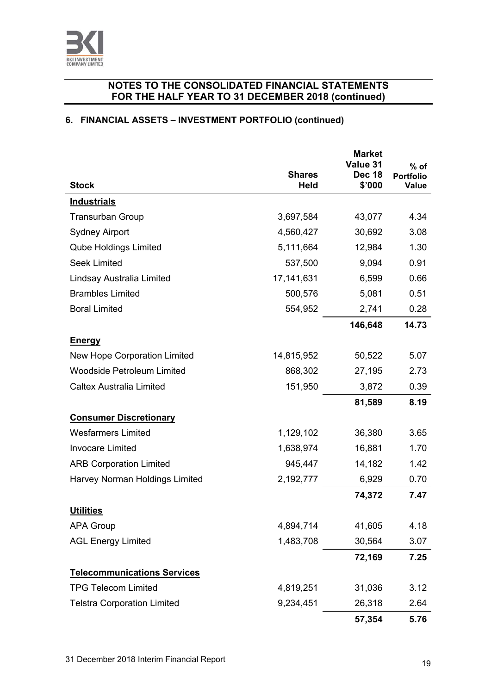

# **6. FINANCIAL ASSETS – INVESTMENT PORTFOLIO (continued)**

|                                    | <b>Shares</b> | <b>Market</b><br>Value 31<br><b>Dec 18</b> | $%$ of<br><b>Portfolio</b> |
|------------------------------------|---------------|--------------------------------------------|----------------------------|
| <b>Stock</b>                       | <b>Held</b>   | \$'000                                     | Value                      |
| <b>Industrials</b>                 |               |                                            |                            |
| <b>Transurban Group</b>            | 3,697,584     | 43,077                                     | 4.34                       |
| <b>Sydney Airport</b>              | 4,560,427     | 30,692                                     | 3.08                       |
| <b>Qube Holdings Limited</b>       | 5,111,664     | 12,984                                     | 1.30                       |
| <b>Seek Limited</b>                | 537,500       | 9,094                                      | 0.91                       |
| Lindsay Australia Limited          | 17,141,631    | 6,599                                      | 0.66                       |
| <b>Brambles Limited</b>            | 500,576       | 5,081                                      | 0.51                       |
| <b>Boral Limited</b>               | 554,952       | 2,741                                      | 0.28                       |
|                                    |               | 146,648                                    | 14.73                      |
| <b>Energy</b>                      |               |                                            |                            |
| New Hope Corporation Limited       | 14,815,952    | 50,522                                     | 5.07                       |
| <b>Woodside Petroleum Limited</b>  | 868,302       | 27,195                                     | 2.73                       |
| <b>Caltex Australia Limited</b>    | 151,950       | 3,872                                      | 0.39                       |
|                                    |               | 81,589                                     | 8.19                       |
| <b>Consumer Discretionary</b>      |               |                                            |                            |
| <b>Wesfarmers Limited</b>          | 1,129,102     | 36,380                                     | 3.65                       |
| <b>Invocare Limited</b>            | 1,638,974     | 16,881                                     | 1.70                       |
| <b>ARB Corporation Limited</b>     | 945,447       | 14,182                                     | 1.42                       |
| Harvey Norman Holdings Limited     | 2,192,777     | 6,929                                      | 0.70                       |
|                                    |               | 74,372                                     | 7.47                       |
| <b>Utilities</b>                   |               |                                            |                            |
| <b>APA Group</b>                   | 4,894,714     | 41,605                                     | 4.18                       |
| <b>AGL Energy Limited</b>          | 1,483,708     | 30,564                                     | 3.07                       |
|                                    |               | 72,169                                     | 7.25                       |
| <b>Telecommunications Services</b> |               |                                            |                            |
| <b>TPG Telecom Limited</b>         | 4,819,251     | 31,036                                     | 3.12                       |
| <b>Telstra Corporation Limited</b> | 9,234,451     | 26,318                                     | 2.64                       |
|                                    |               | 57,354                                     | 5.76                       |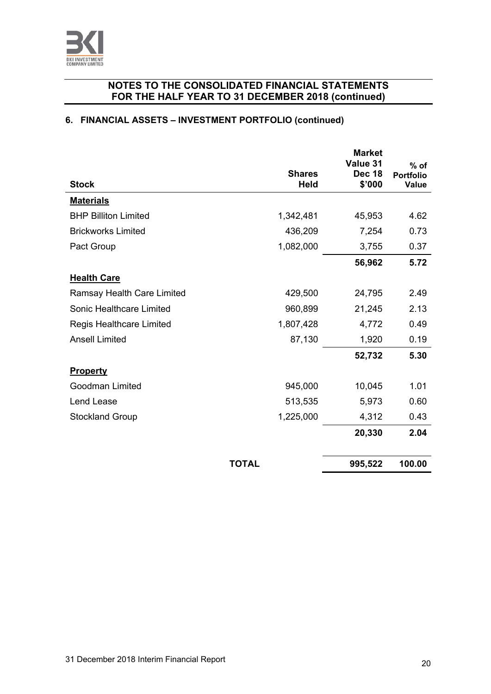

# **6. FINANCIAL ASSETS – INVESTMENT PORTFOLIO (continued)**

|                                 | <b>Shares</b> | <b>Market</b><br>Value 31<br><b>Dec 18</b> | $%$ of                    |
|---------------------------------|---------------|--------------------------------------------|---------------------------|
| <b>Stock</b>                    | <b>Held</b>   | \$'000                                     | <b>Portfolio</b><br>Value |
| <b>Materials</b>                |               |                                            |                           |
| <b>BHP Billiton Limited</b>     | 1,342,481     | 45,953                                     | 4.62                      |
| <b>Brickworks Limited</b>       | 436,209       | 7,254                                      | 0.73                      |
| Pact Group                      | 1,082,000     | 3,755                                      | 0.37                      |
|                                 |               | 56,962                                     | 5.72                      |
| <b>Health Care</b>              |               |                                            |                           |
| Ramsay Health Care Limited      | 429,500       | 24,795                                     | 2.49                      |
| Sonic Healthcare Limited        | 960,899       | 21,245                                     | 2.13                      |
| <b>Regis Healthcare Limited</b> | 1,807,428     | 4,772                                      | 0.49                      |
| <b>Ansell Limited</b>           | 87,130        | 1,920                                      | 0.19                      |
|                                 |               | 52,732                                     | 5.30                      |
| <b>Property</b>                 |               |                                            |                           |
| Goodman Limited                 | 945,000       | 10,045                                     | 1.01                      |
| Lend Lease                      | 513,535       | 5,973                                      | 0.60                      |
| <b>Stockland Group</b>          | 1,225,000     | 4,312                                      | 0.43                      |
|                                 |               | 20,330                                     | 2.04                      |
|                                 |               |                                            |                           |
|                                 | <b>TOTAL</b>  | 995,522                                    | 100.00                    |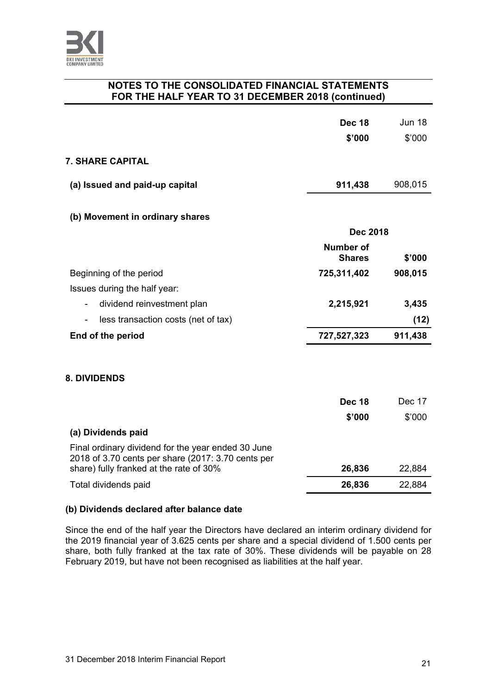

|                                                                                                          | <b>Dec 18</b><br>\$'000    | <b>Jun 18</b><br>\$'000 |
|----------------------------------------------------------------------------------------------------------|----------------------------|-------------------------|
| <b>7. SHARE CAPITAL</b>                                                                                  |                            |                         |
| (a) Issued and paid-up capital                                                                           | 911,438                    | 908,015                 |
| (b) Movement in ordinary shares                                                                          |                            |                         |
|                                                                                                          | <b>Dec 2018</b>            |                         |
|                                                                                                          | Number of<br><b>Shares</b> | \$'000                  |
| Beginning of the period                                                                                  | 725,311,402                | 908,015                 |
| Issues during the half year:                                                                             |                            |                         |
| dividend reinvestment plan<br>$\overline{\phantom{a}}$                                                   | 2,215,921                  | 3,435                   |
| less transaction costs (net of tax)<br>$\overline{\phantom{a}}$                                          |                            | (12)                    |
| End of the period                                                                                        | 727,527,323                | 911,438                 |
|                                                                                                          |                            |                         |
| <b>8. DIVIDENDS</b>                                                                                      |                            |                         |
|                                                                                                          | <b>Dec 18</b>              | Dec 17                  |
|                                                                                                          | \$'000                     | \$'000                  |
| (a) Dividends paid                                                                                       |                            |                         |
| Final ordinary dividend for the year ended 30 June<br>2018 of 3.70 cents per share (2017: 3.70 cents per |                            |                         |
| share) fully franked at the rate of 30%                                                                  | 26,836                     | 22,884                  |
| Total dividends paid                                                                                     | 26,836                     | 22,884                  |

### **(b) Dividends declared after balance date**

Since the end of the half year the Directors have declared an interim ordinary dividend for the 2019 financial year of 3.625 cents per share and a special dividend of 1.500 cents per share, both fully franked at the tax rate of 30%. These dividends will be payable on 28 February 2019, but have not been recognised as liabilities at the half year.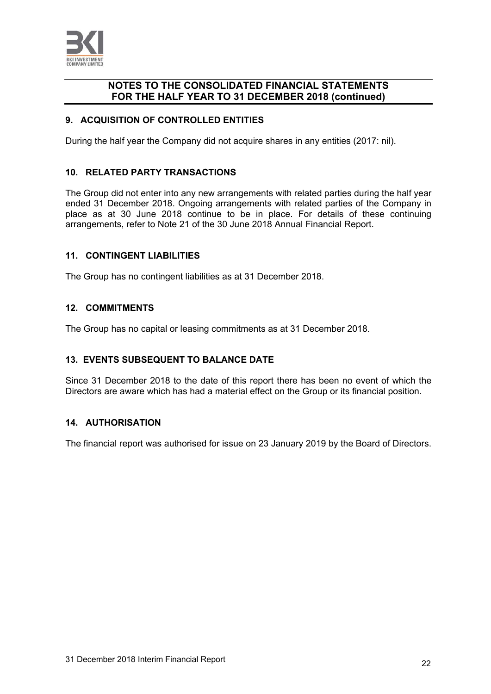

#### **9. ACQUISITION OF CONTROLLED ENTITIES**

During the half year the Company did not acquire shares in any entities (2017: nil).

#### **10. RELATED PARTY TRANSACTIONS**

The Group did not enter into any new arrangements with related parties during the half year ended 31 December 2018. Ongoing arrangements with related parties of the Company in place as at 30 June 2018 continue to be in place. For details of these continuing arrangements, refer to Note 21 of the 30 June 2018 Annual Financial Report.

#### **11. CONTINGENT LIABILITIES**

The Group has no contingent liabilities as at 31 December 2018.

#### **12. COMMITMENTS**

The Group has no capital or leasing commitments as at 31 December 2018.

#### **13. EVENTS SUBSEQUENT TO BALANCE DATE**

Since 31 December 2018 to the date of this report there has been no event of which the Directors are aware which has had a material effect on the Group or its financial position.

#### **14. AUTHORISATION**

The financial report was authorised for issue on 23 January 2019 by the Board of Directors.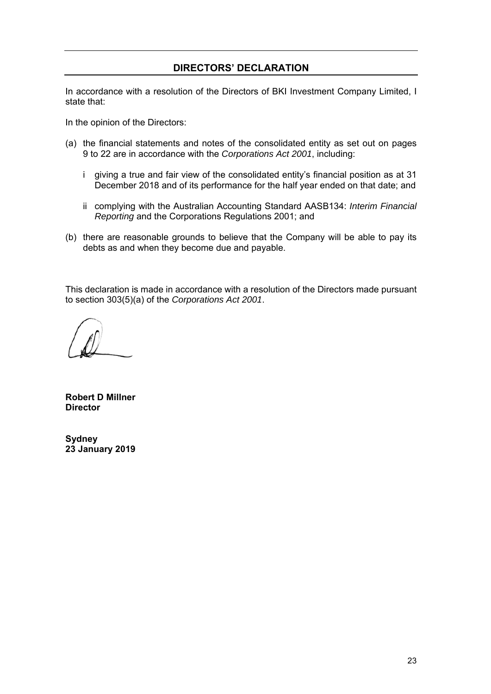### **DIRECTORS' DECLARATION**

In accordance with a resolution of the Directors of BKI Investment Company Limited, I state that:

In the opinion of the Directors:

- (a) the financial statements and notes of the consolidated entity as set out on pages 9 to 22 are in accordance with the *Corporations Act 2001*, including:
	- i giving a true and fair view of the consolidated entity's financial position as at 31 December 2018 and of its performance for the half year ended on that date; and
	- ii complying with the Australian Accounting Standard AASB134: *Interim Financial Reporting* and the Corporations Regulations 2001; and
- (b) there are reasonable grounds to believe that the Company will be able to pay its debts as and when they become due and payable.

This declaration is made in accordance with a resolution of the Directors made pursuant to section 303(5)(a) of the *Corporations Act 2001*.

**Robert D Millner Director** 

**Sydney 23 January 2019**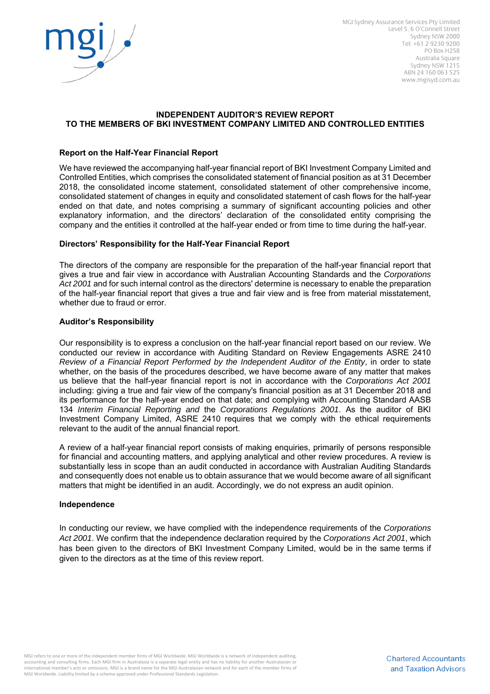

MGI Sydney Assurance Services Pty Limited Level 5, 6 O'Connell Street Sydney NSW 2000 Tel: +61 2 9230 9200 PO Box H258 Australia Square Sydney NSW 1215 ABN 24 160 063 525 www.mgisyd.com.au

#### **INDEPENDENT AUDITOR'S REVIEW REPORT TO THE MEMBERS OF BKI INVESTMENT COMPANY LIMITED AND CONTROLLED ENTITIES**

#### **Report on the Half-Year Financial Report**

We have reviewed the accompanying half-year financial report of BKI Investment Company Limited and Controlled Entities, which comprises the consolidated statement of financial position as at 31 December 2018, the consolidated income statement, consolidated statement of other comprehensive income, consolidated statement of changes in equity and consolidated statement of cash flows for the half-year ended on that date, and notes comprising a summary of significant accounting policies and other explanatory information, and the directors' declaration of the consolidated entity comprising the company and the entities it controlled at the half-year ended or from time to time during the half-year.

#### **Directors' Responsibility for the Half-Year Financial Report**

The directors of the company are responsible for the preparation of the half-year financial report that gives a true and fair view in accordance with Australian Accounting Standards and the *Corporations Act 2001* and for such internal control as the directors' determine is necessary to enable the preparation of the half-year financial report that gives a true and fair view and is free from material misstatement, whether due to fraud or error.

#### **Auditor's Responsibility**

Our responsibility is to express a conclusion on the half-year financial report based on our review. We conducted our review in accordance with Auditing Standard on Review Engagements ASRE 2410 *Review of a Financial Report Performed by the Independent Auditor of the Entity*, in order to state whether, on the basis of the procedures described, we have become aware of any matter that makes us believe that the half-year financial report is not in accordance with the *Corporations Act 2001* including: giving a true and fair view of the company's financial position as at 31 December 2018 and its performance for the half-year ended on that date; and complying with Accounting Standard AASB 134 *Interim Financial Reporting and* the *Corporations Regulations 2001*. As the auditor of BKI Investment Company Limited, ASRE 2410 requires that we comply with the ethical requirements relevant to the audit of the annual financial report.

A review of a half-year financial report consists of making enquiries, primarily of persons responsible for financial and accounting matters, and applying analytical and other review procedures. A review is substantially less in scope than an audit conducted in accordance with Australian Auditing Standards and consequently does not enable us to obtain assurance that we would become aware of all significant matters that might be identified in an audit. Accordingly, we do not express an audit opinion.

#### **Independence**

In conducting our review, we have complied with the independence requirements of the *Corporations Act 2001*. We confirm that the independence declaration required by the *Corporations Act 2001*, which has been given to the directors of BKI Investment Company Limited, would be in the same terms if given to the directors as at the time of this review report.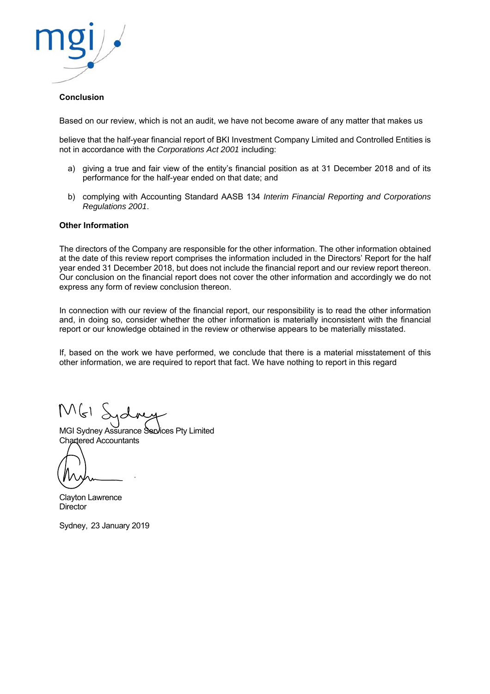

#### **Conclusion**

Based on our review, which is not an audit, we have not become aware of any matter that makes us

believe that the half-year financial report of BKI Investment Company Limited and Controlled Entities is not in accordance with the *Corporations Act 2001* including:

- a) giving a true and fair view of the entity's financial position as at 31 December 2018 and of its performance for the half-year ended on that date; and
- b) complying with Accounting Standard AASB 134 *Interim Financial Reporting and Corporations Regulations 2001*.

#### **Other Information**

The directors of the Company are responsible for the other information. The other information obtained at the date of this review report comprises the information included in the Directors' Report for the half year ended 31 December 2018, but does not include the financial report and our review report thereon. Our conclusion on the financial report does not cover the other information and accordingly we do not express any form of review conclusion thereon.

In connection with our review of the financial report, our responsibility is to read the other information and, in doing so, consider whether the other information is materially inconsistent with the financial report or our knowledge obtained in the review or otherwise appears to be materially misstated.

If, based on the work we have performed, we conclude that there is a material misstatement of this other information, we are required to report that fact. We have nothing to report in this regard

MGI Sydney Assurance Services Pty Limited Chartered Accountants

Clayton Lawrence **Director** 

Sydney, 23 January 2019